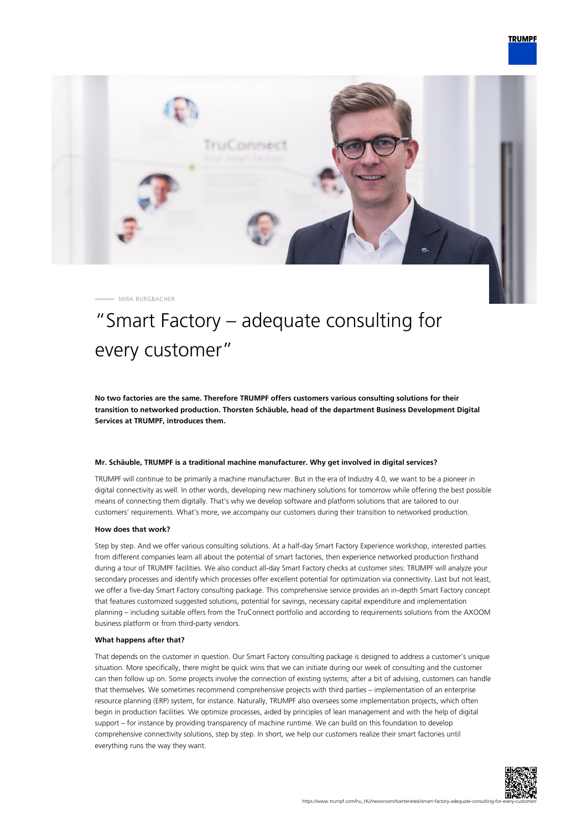

MIRA BURGBACHER

# "Smart Factory – adequate consulting for every customer"

**No two factories are the same. Therefore TRUMPF offers customers various consulting solutions for their transition to networked production. Thorsten Schäuble, head of the department Business Development Digital Services at TRUMPF, introduces them.**

### **Mr. Schäuble, TRUMPF is a traditional machine manufacturer. Why get involved in digital services?**

TRUMPF will continue to be primarily a machine manufacturer. But in the era of Industry 4.0, we want to be a pioneer in digital connectivity as well. In other words, developing new machinery solutions for tomorrow while offering the best possible means of connecting them digitally. That's why we develop software and platform solutions that are tailored to our customers' requirements. What's more, we accompany our customers during their transition to networked production.

#### **How does that work?**

Step by step. And we offer various consulting solutions. At a half-day Smart Factory Experience workshop, interested parties from different companies learn all about the potential of smart factories, then experience networked production firsthand during a tour of TRUMPF facilities. We also conduct all-day Smart Factory checks at customer sites: TRUMPF will analyze your secondary processes and identify which processes offer excellent potential for optimization via connectivity. Last but not least, we offer a five-day Smart Factory consulting package. This comprehensive service provides an in-depth Smart Factory concept that features customized suggested solutions, potential for savings, necessary capital expenditure and implementation planning – including suitable offers from the TruConnect portfolio and according to requirements solutions from the AXOOM business platform or from third-party vendors.

#### **What happens after that?**

That depends on the customer in question. Our Smart Factory consulting package is designed to address a customer's unique situation. More specifically, there might be quick wins that we can initiate during our week of consulting and the customer can then follow up on. Some projects involve the connection of existing systems; after a bit of advising, customers can handle that themselves. We sometimes recommend comprehensive projects with third parties – implementation of an enterprise resource planning (ERP) system, for instance. Naturally, TRUMPF also oversees some implementation projects, which often begin in production facilities. We optimize processes, aided by principles of lean management and with the help of digital support – for instance by providing transparency of machine runtime. We can build on this foundation to develop comprehensive connectivity solutions, step by step. In short, we help our customers realize their smart factories until everything runs the way they want.